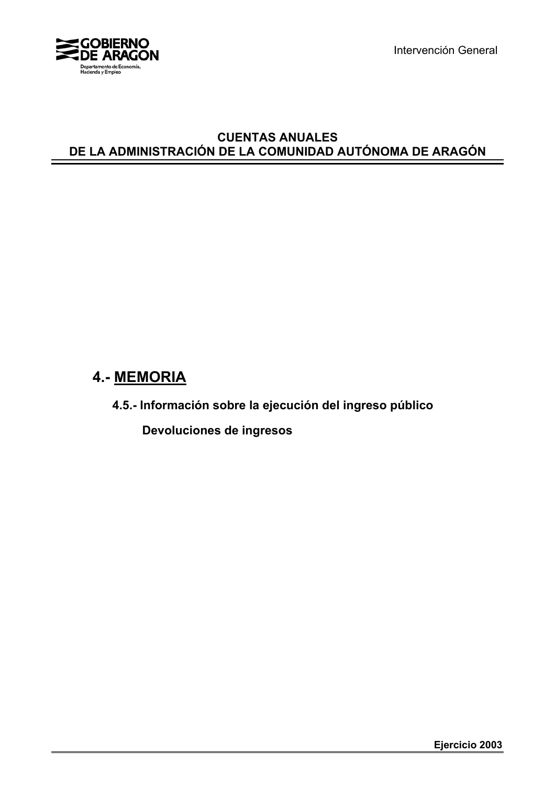

Intervención General

## **CUENTAS ANUALES DE LA ADMINISTRACIÓN DE LA COMUNIDAD AUTÓNOMA DE ARAGÓN**

# **4.- MEMORIA**

**4.5.- Información sobre la ejecución del ingreso público**

 **Devoluciones de ingresos**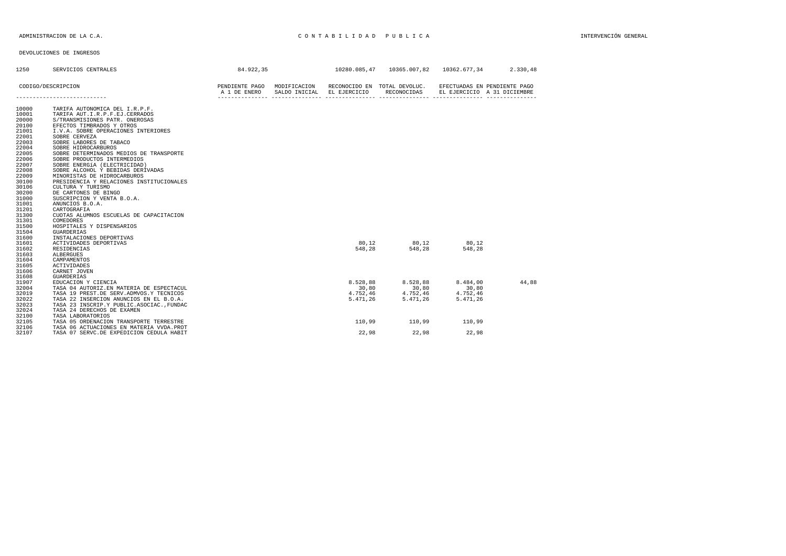| 1250                                                                                                                                                                                               | SERVICIOS CENTRALES                                                                                                                                                                                                                                                                                                                                                                                                                                                                                                                                                                                                                                                    | 84.922,35                                   |               |                                           | 10280.085.47   10365.007.82                 | 10362.677.34                              | 2.330.48                                                    |
|----------------------------------------------------------------------------------------------------------------------------------------------------------------------------------------------------|------------------------------------------------------------------------------------------------------------------------------------------------------------------------------------------------------------------------------------------------------------------------------------------------------------------------------------------------------------------------------------------------------------------------------------------------------------------------------------------------------------------------------------------------------------------------------------------------------------------------------------------------------------------------|---------------------------------------------|---------------|-------------------------------------------|---------------------------------------------|-------------------------------------------|-------------------------------------------------------------|
|                                                                                                                                                                                                    | CODIGO/DESCRIPCION                                                                                                                                                                                                                                                                                                                                                                                                                                                                                                                                                                                                                                                     | PENDIENTE PAGO MODIFICACION<br>A 1 DE ENERO | SALDO INICIAL | EL EJERCICIO                              | RECONOCIDO EN TOTAL DEVOLUC.<br>RECONOCIDAS |                                           | EFECTUADAS EN PENDIENTE PAGO<br>EL EJERCICIO A 31 DICIEMBRE |
|                                                                                                                                                                                                    |                                                                                                                                                                                                                                                                                                                                                                                                                                                                                                                                                                                                                                                                        |                                             |               |                                           |                                             |                                           |                                                             |
| 10000<br>10001<br>20000<br>20100<br>21001<br>22001<br>22003<br>22004<br>22005<br>22006<br>22007<br>22008<br>22009<br>30100<br>30106<br>30200<br>31000<br>31001<br>31201<br>31300<br>31301<br>31500 | TARIFA AUTONOMICA DEL I.R.P.F.<br>TARIFA AUT. I.R.P.F.EJ.CERRADOS<br>S/TRANSMISIONES PATR. ONEROSAS<br>EFECTOS TIMBRADOS Y OTROS<br>I.V.A. SOBRE OPERACIONES INTERIORES<br>SOBRE CERVEZA<br>SOBRE LABORES DE TABACO<br>SOBRE HIDROCARBUROS<br>SOBRE DETERMINADOS MEDIOS DE TRANSPORTE<br>SOBRE PRODUCTOS INTERMEDIOS<br>SOBRE ENERGÍA (ELECTRICIDAD)<br>SOBRE ALCOHOL Y BEBIDAS DERIVADAS<br>MINORISTAS DE HIDROCARBUROS<br>PRESIDENCIA Y RELACIONES INSTITUCIONALES<br>CULTURA Y TURISMO<br>DE CARTONES DE BINGO<br>SUSCRIPCION Y VENTA B.O.A.<br>ANUNCIOS B.O.A.<br>CARTOGRAFIA<br>CUOTAS ALUMNOS ESCUELAS DE CAPACITACION<br>COMEDORES<br>HOSPITALES Y DISPENSARIOS |                                             |               |                                           |                                             |                                           |                                                             |
| 31504<br>31600<br>31601<br>31602<br>31603<br>31604                                                                                                                                                 | <b>GUARDERIAS</b><br>INSTALACIONES DEPORTIVAS<br>ACTIVIDADES DEPORTIVAS<br>RESIDENCIAS<br>ALBERGUES<br>CAMPAMENTOS                                                                                                                                                                                                                                                                                                                                                                                                                                                                                                                                                     |                                             |               | 80.12<br>548.28                           | 80.12<br>548,28                             | 80.12<br>548.28                           |                                                             |
| 31605<br>31606<br>31608<br>31907<br>32004<br>32019<br>32022<br>32023<br>32024                                                                                                                      | <b>ACTIVIDADES</b><br>CARNET JOVEN<br><b>GUARDERIAS</b><br>EDUCACION Y CIENCIA<br>TASA 04 AUTORIZ.EN MATERIA DE ESPECTACUL<br>TASA 19 PREST.DE SERV.ADMVOS.Y TECNICOS<br>TASA 22 INSERCION ANUNCIOS EN EL B.O.A.<br>TASA 23 INSCRIP.Y PUBLIC.ASOCIAC., FUNDAC<br>TASA 24 DERECHOS DE EXAMEN                                                                                                                                                                                                                                                                                                                                                                            |                                             |               | 8.528,88<br>30,80<br>4.752,46<br>5.471,26 | 8.528,88<br>30,80<br>4.752,46<br>5.471,26   | 8.484,00<br>30,80<br>4.752,46<br>5.471.26 | 44.88                                                       |
| 32100<br>32105<br>32106<br>32107                                                                                                                                                                   | TASA LABORATORIOS<br>TASA 05 ORDENACION TRANSPORTE TERRESTRE<br>TASA 06 ACTUACIONES EN MATERIA VVDA. PROT<br>TASA 07 SERVC.DE EXPEDICION CEDULA HABIT                                                                                                                                                                                                                                                                                                                                                                                                                                                                                                                  |                                             |               | 110,99<br>22,98                           | 110,99<br>22,98                             | 110,99<br>22,98                           |                                                             |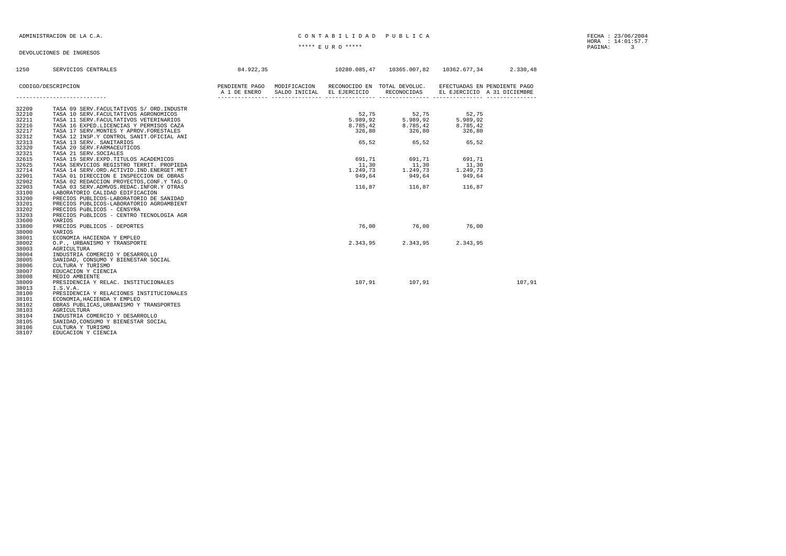### ADMINISTRACION DE LA C.A. CARRECTER EN LA CONTRETEIRA EN LA CONTRETEIRA EN LA CARRECTERA EN LA CARRECTERA EN LA

HORA : 14:01:57.7 \*\*\*\*\* E U R O \*\*\*\*\* PAGINA: 3

| 1250  | SERVICIOS CENTRALES                         | 84.922,35                                                |                            |          | 10280.085,47  10365.007,82  10362.677,34  2.330,48 |                     |                              |
|-------|---------------------------------------------|----------------------------------------------------------|----------------------------|----------|----------------------------------------------------|---------------------|------------------------------|
|       |                                             |                                                          |                            |          |                                                    |                     |                              |
|       | CODIGO/DESCRIPCION                          | PENDIENTE PAGO MODIFICACION RECONOCIDO EN TOTAL DEVOLUC. |                            |          |                                                    |                     | EFECTUADAS EN PENDIENTE PAGO |
|       |                                             | A 1 DE ENERO                                             | SALDO INICIAL EL EJERCICIO |          | RECONOCIDAS                                        |                     | EL EJERCICIO A 31 DICIEMBRE  |
|       |                                             |                                                          |                            |          |                                                    |                     |                              |
| 32209 | TASA 09 SERV. FACULTATIVOS S/ ORD. INDUSTR  |                                                          |                            |          |                                                    |                     |                              |
| 32210 | TASA 10 SERV. FACULTATIVOS AGRONOMICOS      |                                                          |                            | 52,75    | 52,75<br>5.989.92                                  | $52,75$<br>5.989.02 |                              |
| 32211 | TASA 11 SERV. FACULTATIVOS VETERINARIOS     |                                                          |                            | 5.989,92 |                                                    |                     |                              |
| 32216 | TASA 16 EXPED.LICENCIAS Y PERMISOS CAZA     |                                                          |                            | 8.785,42 | 8.785, 42                                          | 8.785,42            |                              |
| 32217 | TASA 17 SERV. MONTES Y APROV. FORESTALES    |                                                          |                            | 326,80   | 326,80                                             | 326,80              |                              |
| 32312 | TASA 12 INSP.Y CONTROL SANIT.OFICIAL ANI    |                                                          |                            |          |                                                    |                     |                              |
| 32313 | TASA 13 SERV. SANITARIOS                    |                                                          |                            |          | 65,52 65,52 65,52                                  |                     |                              |
| 32320 | TASA 20 SERV. FARMACEUTICOS                 |                                                          |                            |          |                                                    |                     |                              |
| 32321 | TASA 21 SERV. SOCIALES                      |                                                          |                            |          |                                                    |                     |                              |
| 32615 | TASA 15 SERV. EXPD. TITULOS ACADEMICOS      |                                                          |                            | 691.71   | 691,71                                             | 691,71              |                              |
| 32625 | TASA SERVICIOS REGISTRO TERRIT. PROPIEDA    |                                                          |                            | 11,30    | 11,30                                              | 11,30               |                              |
| 32714 | TASA 14 SERV.ORD.ACTIVID.IND.ENERGET.MET    |                                                          |                            | 1.249,73 | 1.249,73                                           | 1.249,73            |                              |
| 32901 | TASA 01 DIRECCION E INSPECCION DE OBRAS     |                                                          |                            | 949,64   | 949,64                                             | 949,64              |                              |
| 32902 | TASA 02 REDACCION PROYECTOS, CONF.Y TAS.O   |                                                          |                            |          |                                                    |                     |                              |
| 32903 | TASA 03 SERV. ADMVOS. REDAC. INFOR. Y OTRAS |                                                          |                            |          | 116,87 116,87 116,87                               |                     |                              |
| 33100 | LABORATORIO CALIDAD EDIFICACION             |                                                          |                            |          |                                                    |                     |                              |
| 33200 | PRECIOS PUBLICOS-LABORATORIO DE SANIDAD     |                                                          |                            |          |                                                    |                     |                              |
| 33201 | PRECIOS PUBLICOS-LABORATORIO AGROAMBIENT    |                                                          |                            |          |                                                    |                     |                              |
| 33202 | PRECIOS PÚBLICOS - CENSYRA                  |                                                          |                            |          |                                                    |                     |                              |
| 33203 | PRECIOS PÚBLICOS - CENTRO TECNOLOGIA AGR    |                                                          |                            |          |                                                    |                     |                              |
| 33600 | VARIOS                                      |                                                          |                            |          |                                                    |                     |                              |
| 33800 | PRECIOS PUBLICOS - DEPORTES                 |                                                          |                            | 76,00    | 76,00 76,00                                        |                     |                              |
| 38000 | VARIOS                                      |                                                          |                            |          |                                                    |                     |                              |
| 38001 | ECONOMIA HACIENDA Y EMPLEO                  |                                                          |                            |          |                                                    |                     |                              |
| 38002 | O.P., URBANISMO Y TRANSPORTE                |                                                          |                            |          | 2.343,95 2.343,95                                  | 2.343,95            |                              |
| 38003 | AGRICULTURA                                 |                                                          |                            |          |                                                    |                     |                              |
| 38004 | INDUSTRIA COMERCIO Y DESARROLLO             |                                                          |                            |          |                                                    |                     |                              |
| 38005 | SANIDAD, CONSUMO Y BIENESTAR SOCIAL         |                                                          |                            |          |                                                    |                     |                              |
| 38006 | CULTURA Y TURISMO                           |                                                          |                            |          |                                                    |                     |                              |
| 38007 | EDUCACION Y CIENCIA                         |                                                          |                            |          |                                                    |                     |                              |
| 38008 | MEDIO AMBIENTE                              |                                                          |                            |          |                                                    |                     |                              |
| 38009 | PRESIDENCIA Y RELAC. INSTITUCIONALES        |                                                          |                            | 107,91   | 107,91                                             |                     | 107,91                       |
| 38013 | I.S.V.A.                                    |                                                          |                            |          |                                                    |                     |                              |
| 38100 | PRESIDENCIA Y RELACIONES INSTITUCIONALES    |                                                          |                            |          |                                                    |                     |                              |
| 38101 | ECONOMIA, HACIENDA Y EMPLEO                 |                                                          |                            |          |                                                    |                     |                              |
| 38102 | OBRAS PUBLICAS, URBANISMO Y TRANSPORTES     |                                                          |                            |          |                                                    |                     |                              |
| 38103 | AGRICULTURA                                 |                                                          |                            |          |                                                    |                     |                              |
| 38104 | INDUSTRIA COMERCIO Y DESARROLLO             |                                                          |                            |          |                                                    |                     |                              |
| 38105 | SANIDAD, CONSUMO Y BIENESTAR SOCIAL         |                                                          |                            |          |                                                    |                     |                              |
| 38106 | CULTURA Y TURISMO                           |                                                          |                            |          |                                                    |                     |                              |
| 38107 | EDUCACION Y CIENCIA                         |                                                          |                            |          |                                                    |                     |                              |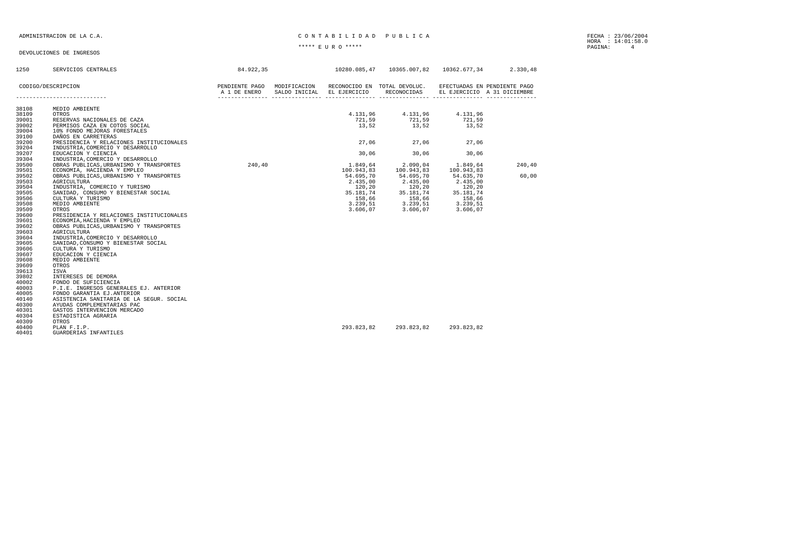### ADMINISTRACION DE LA C.A. CARREGIA EN CONTRETEIRA EN CONTRETEIRA EN CONTRETEIRA EN CARREGIA EN CONTRETEIRA EN E

HORA : 14:01:58.0 \*\*\*\*\* E U R O \*\*\*\*\* PAGINA: 4

| 1250           | SERVICIOS CENTRALES                                                    | 84.922,35                                                                |                        | 10280.085,47  10365.007,82  10362.677,34  2.330,48     |                              |                             |
|----------------|------------------------------------------------------------------------|--------------------------------------------------------------------------|------------------------|--------------------------------------------------------|------------------------------|-----------------------------|
|                | CODIGO/DESCRIPCION                                                     | PENDIENTE PAGO MODIFICACION RECONOCIDO EN TOTAL DEVOLUC.<br>A 1 DE ENERO |                        | SALDO INICIAL EL EJERCICIO RECONOCIDAS                 | EFECTUADAS EN PENDIENTE PAGO | EL EJERCICIO A 31 DICIEMBRE |
|                |                                                                        |                                                                          |                        |                                                        |                              |                             |
| 38108          | MEDIO AMBIENTE                                                         |                                                                          |                        |                                                        |                              |                             |
| 38109          | OTROS                                                                  |                                                                          |                        | 4.131,96  4.131,96  4.131,96<br>721,59  721,59  721,59 |                              |                             |
| 39001          | RESERVAS NACIONALES DE CAZA                                            |                                                                          |                        |                                                        |                              |                             |
| 39002          | PERMISOS CAZA EN COTOS SOCIAL                                          |                                                                          |                        | 13,52 13,52 13,52                                      |                              |                             |
| 39004          | 10% FONDO MEJORAS FORESTALES                                           |                                                                          |                        |                                                        |                              |                             |
| 39100          | DAÑOS EN CARRETERAS                                                    |                                                                          |                        |                                                        |                              |                             |
| 39200          | PRESIDENCIA Y RELACIONES INSTITUCIONALES                               |                                                                          |                        | 27,06 27,06                                            | 27,06                        |                             |
| 39204          | INDUSTRIA, COMERCIO Y DESARROLLO                                       |                                                                          |                        |                                                        |                              |                             |
| 39207          | EDUCACION Y CIENCIA                                                    |                                                                          | 30,06                  | 30,06                                                  | 30,06                        |                             |
| 39304          | INDUSTRIA, COMERCIO Y DESARROLLO                                       |                                                                          |                        |                                                        |                              |                             |
| 39500<br>39501 | OBRAS PUBLICAS, URBANISMO Y TRANSPORTES 240, 40                        |                                                                          | 1.849.64<br>100.943,83 | 2.090,04                                               | 1.849.64<br>100.943,83       | 240,40                      |
| 39502          | ECONOMIA, HACIENDA Y EMPLEO<br>OBRAS PUBLICAS, URBANISMO Y TRANSPORTES |                                                                          | 54.695.70              | 100.943,83<br>54.695,70                                | 54.635,70                    | 60,00                       |
| 39503          | AGRICULTURA                                                            |                                                                          | 2.435.00               | 2.435,00                                               | 2.435.00                     |                             |
| 39504          | INDUSTRIA, COMERCIO Y TURISMO                                          |                                                                          | 120.20                 | 120,20                                                 | 120,20                       |                             |
| 39505          | SANIDAD, CONSUMO Y BIENESTAR SOCIAL                                    |                                                                          | 35.181,74              |                                                        | 35.181,74                    |                             |
| 39506          | CULTURA Y TURISMO                                                      |                                                                          | 158,66                 | 35.181,74<br>158,66                                    | 158,66                       |                             |
| 39508          | MEDIO AMBIENTE                                                         |                                                                          | 3.239,51               |                                                        | 3.239, 51                    |                             |
| 39509          | OTROS                                                                  |                                                                          | 3.606,07               | $3.239,51$<br>$3.606.07$<br>3.606,07                   | 3.606,07                     |                             |
| 39600          | PRESIDENCIA Y RELACIONES INSTITUCIONALES                               |                                                                          |                        |                                                        |                              |                             |
| 39601          | ECONOMIA, HACIENDA Y EMPLEO                                            |                                                                          |                        |                                                        |                              |                             |
| 39602          | OBRAS PUBLICAS, URBANISMO Y TRANSPORTES                                |                                                                          |                        |                                                        |                              |                             |
| 39603          | AGRICULTURA                                                            |                                                                          |                        |                                                        |                              |                             |
| 39604          | INDUSTRIA, COMERCIO Y DESARROLLO                                       |                                                                          |                        |                                                        |                              |                             |
| 39605          | SANIDAD, CONSUMO Y BIENESTAR SOCIAL                                    |                                                                          |                        |                                                        |                              |                             |
| 39606          | CULTURA Y TURISMO                                                      |                                                                          |                        |                                                        |                              |                             |
| 39607          | EDUCACION Y CIENCIA                                                    |                                                                          |                        |                                                        |                              |                             |
| 39608          | MEDIO AMBIENTE                                                         |                                                                          |                        |                                                        |                              |                             |
| 39609          | OTROS                                                                  |                                                                          |                        |                                                        |                              |                             |
| 39613          | ISVA                                                                   |                                                                          |                        |                                                        |                              |                             |
| 39802          | INTERESES DE DEMORA                                                    |                                                                          |                        |                                                        |                              |                             |
| 40002          | FONDO DE SUFICIENCIA                                                   |                                                                          |                        |                                                        |                              |                             |
| 40003          | P.I.E. INGRESOS GENERALES EJ. ANTERIOR                                 |                                                                          |                        |                                                        |                              |                             |
| 40005          | FONDO GARANTIA EJ.ANTERIOR                                             |                                                                          |                        |                                                        |                              |                             |
| 40140          | ASISTENCIA SANITARIA DE LA SEGUR. SOCIAL                               |                                                                          |                        |                                                        |                              |                             |
| 40300          | AYUDAS COMPLEMENTARIAS PAC                                             |                                                                          |                        |                                                        |                              |                             |
| 40301          | GASTOS INTERVENCION MERCADO                                            |                                                                          |                        |                                                        |                              |                             |
| 40304          | ESTADISTICA AGRARIA                                                    |                                                                          |                        |                                                        |                              |                             |
| 40309<br>40400 | OTROS                                                                  |                                                                          | 293.823.82             | 293.823.82                                             | 293.823.82                   |                             |
| 40401          | PLAN F.I.P.                                                            |                                                                          |                        |                                                        |                              |                             |
|                | GUARDERIAS INFANTILES                                                  |                                                                          |                        |                                                        |                              |                             |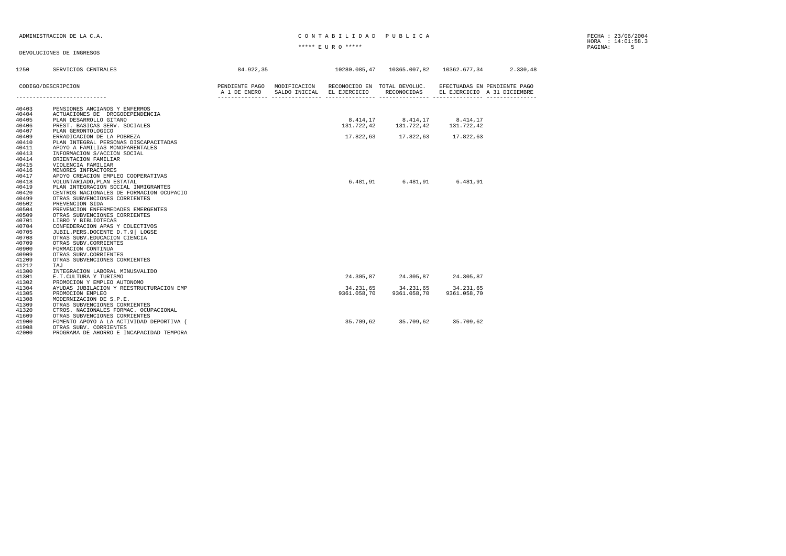### ADMINISTRACION DE LA C.A. CONTABILIDAD PUBLICA

HORA : 14:01:58.3 \*\*\*\*\* E U R O \*\*\*\*\* PAGINA: 5

| 1250           | SERVICIOS CENTRALES                                                       | 84.922,35    |                                                                                        |                                  | $10280.085.47$ $10365.007.82$ $10362.677.34$ 2.330.48       |  |
|----------------|---------------------------------------------------------------------------|--------------|----------------------------------------------------------------------------------------|----------------------------------|-------------------------------------------------------------|--|
|                | CODIGO/DESCRIPCION                                                        | A 1 DE ENERO | PENDIENTE PAGO MODIFICACION RECONOCIDO EN TOTAL DEVOLUC.<br>SALDO INICIAL EL EJERCICIO | RECONOCIDAS                      | EFECTUADAS EN PENDIENTE PAGO<br>EL EJERCICIO A 31 DICIEMBRE |  |
| 40403          | PENSIONES ANCIANOS Y ENFERMOS                                             |              |                                                                                        |                                  |                                                             |  |
| 40404<br>40405 | ACTUACIONES DE DROGODEPENDENCIA<br>PLAN DESARROLLO GITANO                 |              |                                                                                        | 8.414,17 8.414,17 8.414,17       |                                                             |  |
| 40406          | PREST. BASICAS SERV. SOCIALES                                             |              |                                                                                        | 131.722.42 131.722.42 131.722.42 |                                                             |  |
| 40407          | PLAN GERONTOLOGICO                                                        |              |                                                                                        |                                  |                                                             |  |
| 40409          | ERRADICACION DE LA POBREZA                                                |              |                                                                                        | 17.822,63 17.822,63 17.822,63    |                                                             |  |
| 40410          | PLAN INTEGRAL PERSONAS DISCAPACITADAS                                     |              |                                                                                        |                                  |                                                             |  |
| 40411          | APOYO A FAMILIAS MONOPARENTALES                                           |              |                                                                                        |                                  |                                                             |  |
| 40413<br>40414 | INFORMACION S/ACCION SOCIAL<br>ORIENTACION FAMILIAR                       |              |                                                                                        |                                  |                                                             |  |
| 40415          | VIOLENCIA FAMILIAR                                                        |              |                                                                                        |                                  |                                                             |  |
| 40416          | MENORES INFRACTORES                                                       |              |                                                                                        |                                  |                                                             |  |
| 40417          | APOYO CREACION EMPLEO COOPERATIVAS                                        |              |                                                                                        |                                  |                                                             |  |
| 40418          | VOLUNTARIADO, PLAN ESTATAL                                                |              |                                                                                        | 6.481,91 6.481,91                | 6.481,91                                                    |  |
| 40419          | PLAN INTEGRACION SOCIAL INMIGRANTES                                       |              |                                                                                        |                                  |                                                             |  |
| 40420<br>40499 | CENTROS NACIONALES DE FORMACION OCUPACIO<br>OTRAS SUBVENCIONES CORRIENTES |              |                                                                                        |                                  |                                                             |  |
| 40502          | PREVENCION SIDA                                                           |              |                                                                                        |                                  |                                                             |  |
| 40504          | PREVENCION ENFERMEDADES EMERGENTES                                        |              |                                                                                        |                                  |                                                             |  |
| 40509          | OTRAS SUBVENCIONES CORRIENTES                                             |              |                                                                                        |                                  |                                                             |  |
| 40701          | LIBRO Y BIBLIOTECAS                                                       |              |                                                                                        |                                  |                                                             |  |
| 40704          | CONFEDERACION APAS Y COLECTIVOS                                           |              |                                                                                        |                                  |                                                             |  |
| 40705          | JUBIL.PERS.DOCENTE D.T.9 LOGSE                                            |              |                                                                                        |                                  |                                                             |  |
| 40708          | OTRAS SUBV. EDUCACION CIENCIA                                             |              |                                                                                        |                                  |                                                             |  |
| 40709<br>40900 | OTRAS SUBV.CORRIENTES                                                     |              |                                                                                        |                                  |                                                             |  |
| 40909          | FORMACION CONTINUA<br>OTRAS SUBV.CORRIENTES                               |              |                                                                                        |                                  |                                                             |  |
| 41209          | OTRAS SUBVENCIONES CORRIENTES                                             |              |                                                                                        |                                  |                                                             |  |
| 41212          | IAJ                                                                       |              |                                                                                        |                                  |                                                             |  |
| 41300          | INTEGRACION LABORAL MINUSVALIDO                                           |              |                                                                                        |                                  |                                                             |  |
| 41301          | E.T.CULTURA Y TURISMO                                                     |              |                                                                                        | 24.305.87 24.305.87 24.305.87    |                                                             |  |
| 41302          | PROMOCION Y EMPLEO AUTONOMO                                               |              |                                                                                        |                                  |                                                             |  |
| 41304          | AYUDAS JUBILACION Y REESTRUCTURACION EMP                                  |              |                                                                                        | 34.231,65 34.231,65 34.231,65    |                                                             |  |
| 41305<br>41308 | PROMOCION EMPLEO                                                          |              | 9361.058,70                                                                            | 9361.058,70                      | 9361.058.70                                                 |  |
| 41309          | MODERNIZACION DE S.P.E.<br>OTRAS SUBVENCIONES CORRIENTES                  |              |                                                                                        |                                  |                                                             |  |
| 41320          | CTROS. NACIONALES FORMAC. OCUPACIONAL                                     |              |                                                                                        |                                  |                                                             |  |
| 41609          | OTRAS SUBVENCIONES CORRIENTES                                             |              |                                                                                        |                                  |                                                             |  |
| 41900          | FOMENTO APOYO A LA ACTIVIDAD DEPORTIVA (                                  |              |                                                                                        | 35.709,62 35.709,62              | 35.709,62                                                   |  |
| 41908          | OTRAS SUBV. CORRIENTES                                                    |              |                                                                                        |                                  |                                                             |  |
| 42000          | PROGRAMA DE AHORRO E INCAPACIDAD TEMPORA                                  |              |                                                                                        |                                  |                                                             |  |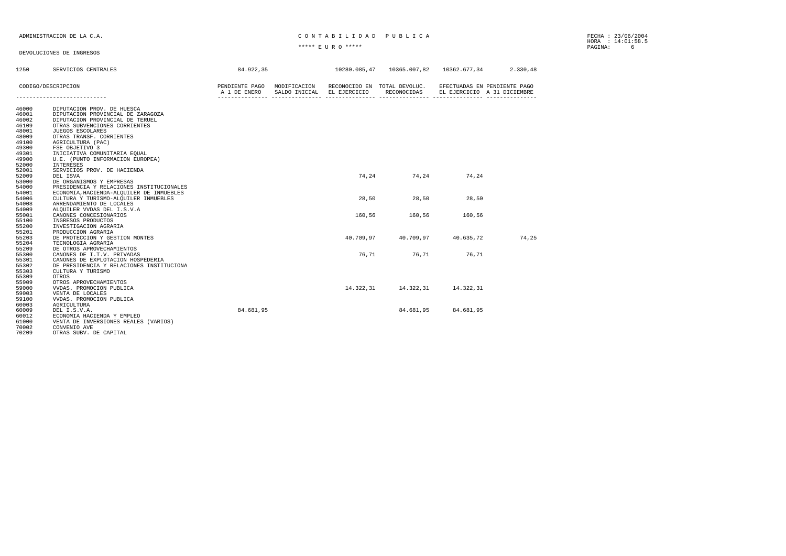### ADMINISTRACION DE LA C.A. CARRECTES EN CONTRABILIDAD PUBLICA

HORA : 14:01:58.5 \*\*\*\*\* E U R O \*\*\*\*\* PAGINA: 6

| 1250  | SERVICIOS CENTRALES                                                                                                                      | 84.922.35 |       | 10280.085.47  10365.007.82  10362.677.34  2.330.48 |           |                                                             |
|-------|------------------------------------------------------------------------------------------------------------------------------------------|-----------|-------|----------------------------------------------------|-----------|-------------------------------------------------------------|
|       | CODIGO/DESCRIPCION<br>PENDIENTE PAGO MODIFICACION RECONOCIDO EN TOTAL DEVOLUC.<br>A 1 DE ENERO SALDO INICIAL EL EJERCICION DE PARALISTE. |           |       |                                                    |           | EFECTUADAS EN PENDIENTE PAGO<br>EL EJERCICIO A 31 DICIEMBRE |
|       |                                                                                                                                          |           |       |                                                    |           |                                                             |
| 46000 | DIPUTACION PROV. DE HUESCA                                                                                                               |           |       |                                                    |           |                                                             |
| 46001 | DIPUTACION PROVINCIAL DE ZARAGOZA                                                                                                        |           |       |                                                    |           |                                                             |
| 46002 | DIPUTACION PROVINCIAL DE TERUEL                                                                                                          |           |       |                                                    |           |                                                             |
| 46109 | OTRAS SUBVENCIONES CORRIENTES                                                                                                            |           |       |                                                    |           |                                                             |
| 48001 | JUEGOS ESCOLARES                                                                                                                         |           |       |                                                    |           |                                                             |
| 48009 | OTRAS TRANSF. CORRIENTES                                                                                                                 |           |       |                                                    |           |                                                             |
| 49100 | AGRICULTURA (PAC)                                                                                                                        |           |       |                                                    |           |                                                             |
| 49300 | FSE OBJETIVO 3                                                                                                                           |           |       |                                                    |           |                                                             |
| 49301 | INICIATIVA COMUNITARIA EQUAL                                                                                                             |           |       |                                                    |           |                                                             |
| 49900 | U.E. (PUNTO INFORMACION EUROPEA)                                                                                                         |           |       |                                                    |           |                                                             |
| 52000 | INTERESES                                                                                                                                |           |       |                                                    |           |                                                             |
| 52001 | SERVICIOS PROV. DE HACIENDA                                                                                                              |           |       |                                                    |           |                                                             |
| 52009 | DEL ISVA                                                                                                                                 |           |       | 74, 24 74, 24                                      | 74,24     |                                                             |
| 53000 | DE ORGANISMOS Y EMPRESAS                                                                                                                 |           |       |                                                    |           |                                                             |
| 54000 | PRESIDENCIA Y RELACIONES INSTITUCIONALES                                                                                                 |           |       |                                                    |           |                                                             |
| 54001 | ECONOMIA, HACIENDA-ALQUILER DE INMUEBLES                                                                                                 |           |       |                                                    |           |                                                             |
| 54006 | CULTURA Y TURISMO-ALQUILER INMUEBLES                                                                                                     |           | 28,50 | 28,50                                              | 28,50     |                                                             |
| 54008 | ARRENDAMIENTO DE LOCALES                                                                                                                 |           |       |                                                    |           |                                                             |
| 54009 | ALQUILER VVDAS DEL I.S.V.A                                                                                                               |           |       |                                                    |           |                                                             |
| 55001 | CANONES CONCESIONARIOS                                                                                                                   |           |       | 160,56 160,56                                      | 160.56    |                                                             |
| 55100 | INGRESOS PRODUCTOS                                                                                                                       |           |       |                                                    |           |                                                             |
| 55200 | INVESTIGACION AGRARIA                                                                                                                    |           |       |                                                    |           |                                                             |
| 55201 | PRODUCCION AGRARIA                                                                                                                       |           |       |                                                    |           |                                                             |
| 55203 | DE PROTECCION Y GESTION MONTES                                                                                                           |           |       | 40.709,97 40.709,97 40.635,72                      |           | 74,25                                                       |
| 55204 | TECNOLOGIA AGRARIA                                                                                                                       |           |       |                                                    |           |                                                             |
| 55209 | DE OTROS APROVECHAMIENTOS                                                                                                                |           |       |                                                    |           |                                                             |
| 55300 | CANONES DE I.T.V. PRIVADAS                                                                                                               |           | 76.71 | 76.71                                              | 76.71     |                                                             |
| 55301 | CANONES DE EXPLOTACION HOSPEDERIA                                                                                                        |           |       |                                                    |           |                                                             |
| 55302 | DE PRESIDENCIA Y RELACIONES INSTITUCIONA                                                                                                 |           |       |                                                    |           |                                                             |
| 55303 | CULTURA Y TURISMO                                                                                                                        |           |       |                                                    |           |                                                             |
| 55309 | OTROS                                                                                                                                    |           |       |                                                    |           |                                                             |
| 55909 | OTROS APROVECHAMIENTOS                                                                                                                   |           |       |                                                    |           |                                                             |
| 59000 | VVDAS. PROMOCION PUBLICA                                                                                                                 |           |       | 14.322,31 14.322,31 14.322,31                      |           |                                                             |
| 59003 | VENTA DE LOCALES                                                                                                                         |           |       |                                                    |           |                                                             |
| 59100 | VVDAS. PROMOCION PUBLICA                                                                                                                 |           |       |                                                    |           |                                                             |
| 60003 | AGRICULTURA                                                                                                                              |           |       |                                                    |           |                                                             |
| 60009 | DEL I.S.V.A.                                                                                                                             | 84.681,95 |       | 84.681,95                                          | 84.681,95 |                                                             |
| 60012 | ECONOMIA HACIENDA Y EMPLEO                                                                                                               |           |       |                                                    |           |                                                             |
| 61000 | VENTA DE INVERSIONES REALES (VARIOS)                                                                                                     |           |       |                                                    |           |                                                             |
| 70002 | CONVENIO AVE                                                                                                                             |           |       |                                                    |           |                                                             |
| 70209 | OTRAS SUBV. DE CAPITAL                                                                                                                   |           |       |                                                    |           |                                                             |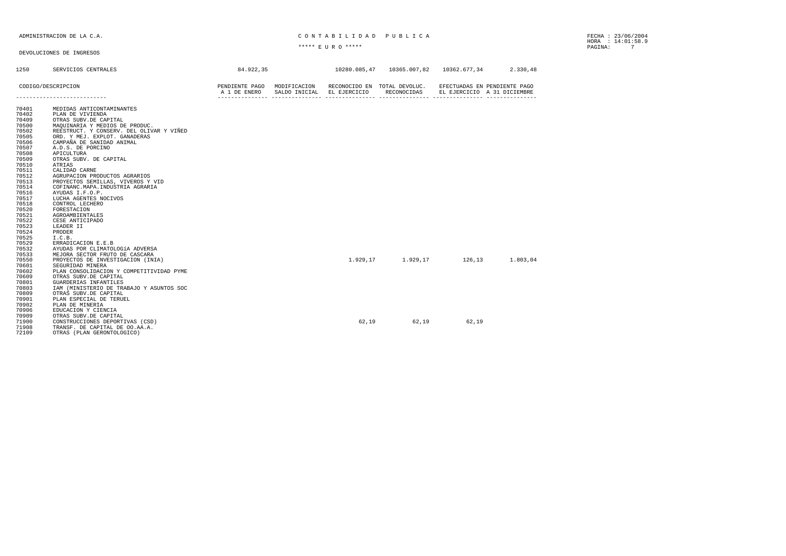### ADMINISTRACION DE LA C.A. CONTABILIDAD PUBLICA

HORA : 14:01:58.9 \*\*\*\*\* E U R O \*\*\*\*\* PAGINA: 7

| 1250           | SERVICIOS CENTRALES                                                        | 84.922,35                                   |               |              | 10280.085,47   10365.007,82                 | 10362.677,34 | 2.330,48                                                    |
|----------------|----------------------------------------------------------------------------|---------------------------------------------|---------------|--------------|---------------------------------------------|--------------|-------------------------------------------------------------|
|                | CODIGO/DESCRIPCION<br>----------------------------                         | PENDIENTE PAGO MODIFICACION<br>A 1 DE ENERO | SALDO INICIAL | EL EJERCICIO | RECONOCIDO EN TOTAL DEVOLUC.<br>RECONOCIDAS |              | EFECTUADAS EN PENDIENTE PAGO<br>EL EJERCICIO A 31 DICIEMBRE |
|                |                                                                            |                                             |               |              |                                             |              |                                                             |
| 70401          | MEDIDAS ANTICONTAMINANTES                                                  |                                             |               |              |                                             |              |                                                             |
| 70402          | PLAN DE VIVIENDA                                                           |                                             |               |              |                                             |              |                                                             |
| 70409          | OTRAS SUBV.DE CAPITAL                                                      |                                             |               |              |                                             |              |                                                             |
| 70500<br>70502 | MAQUINARIA Y MEDIOS DE PRODUC.<br>REESTRUCT. Y CONSERV. DEL OLIVAR Y VIÑED |                                             |               |              |                                             |              |                                                             |
| 70505          | ORD. Y MEJ. EXPLOT. GANADERAS                                              |                                             |               |              |                                             |              |                                                             |
| 70506          | CAMPAÑA DE SANIDAD ANIMAL                                                  |                                             |               |              |                                             |              |                                                             |
| 70507          | A.D.S. DE PORCINO                                                          |                                             |               |              |                                             |              |                                                             |
| 70508          | APICULTURA                                                                 |                                             |               |              |                                             |              |                                                             |
| 70509          | OTRAS SUBV. DE CAPITAL                                                     |                                             |               |              |                                             |              |                                                             |
| 70510          | ATRIAS                                                                     |                                             |               |              |                                             |              |                                                             |
| 70511          | CALIDAD CARNE                                                              |                                             |               |              |                                             |              |                                                             |
| 70512          | AGRUPACION PRODUCTOS AGRARIOS                                              |                                             |               |              |                                             |              |                                                             |
| 70513          | PROYECTOS SEMILLAS, VIVEROS Y VID                                          |                                             |               |              |                                             |              |                                                             |
| 70514          | COFINANC. MAPA. INDUSTRIA AGRARIA                                          |                                             |               |              |                                             |              |                                                             |
| 70516<br>70517 | AYUDAS I.F.O.P.<br>LUCHA AGENTES NOCIVOS                                   |                                             |               |              |                                             |              |                                                             |
| 70518          | CONTROL LECHERO                                                            |                                             |               |              |                                             |              |                                                             |
| 70520          | FORESTACION                                                                |                                             |               |              |                                             |              |                                                             |
| 70521          | AGROAMBIENTALES                                                            |                                             |               |              |                                             |              |                                                             |
| 70522          | CESE ANTICIPADO                                                            |                                             |               |              |                                             |              |                                                             |
| 70523          | LEADER II                                                                  |                                             |               |              |                                             |              |                                                             |
| 70524          | PRODER                                                                     |                                             |               |              |                                             |              |                                                             |
| 70525          | I.C.B.                                                                     |                                             |               |              |                                             |              |                                                             |
| 70529          | ERRADICACION E.E.B                                                         |                                             |               |              |                                             |              |                                                             |
| 70532          | AYUDAS POR CLIMATOLOGÍA ADVERSA                                            |                                             |               |              |                                             |              |                                                             |
| 70533          | MEJORA SECTOR FRUTO DE CASCARA                                             |                                             |               |              |                                             |              |                                                             |
| 70550          | PROYECTOS DE INVESTIGACION (INIA)                                          |                                             |               |              | $1.929, 17$ $1.929, 17$                     | 126.13       | 1.803,04                                                    |
| 70601<br>70602 | SEGURIDAD MINERA                                                           |                                             |               |              |                                             |              |                                                             |
| 70609          | PLAN CONSOLIDACION Y COMPETITIVIDAD PYME<br>OTRAS SUBV.DE CAPITAL          |                                             |               |              |                                             |              |                                                             |
| 70801          | GUARDERIAS INFANTILES                                                      |                                             |               |              |                                             |              |                                                             |
| 70803          | IAM (MINISTERIO DE TRABAJO Y ASUNTOS SOC                                   |                                             |               |              |                                             |              |                                                             |
| 70809          | OTRAS SUBV.DE CAPITAL                                                      |                                             |               |              |                                             |              |                                                             |
| 70901          | PLAN ESPECIAL DE TERUEL                                                    |                                             |               |              |                                             |              |                                                             |
| 70902          | PLAN DE MINERIA                                                            |                                             |               |              |                                             |              |                                                             |
| 70906          | EDUCACION Y CIENCIA                                                        |                                             |               |              |                                             |              |                                                             |
| 70909          | OTRAS SUBV.DE CAPITAL                                                      |                                             |               |              |                                             |              |                                                             |
| 71900          | CONSTRUCCIONES DEPORTIVAS (CSD)                                            |                                             |               | 62,19        | 62,19                                       | 62.19        |                                                             |
| 71908          | TRANSF. DE CAPITAL DE 00.AA.A.                                             |                                             |               |              |                                             |              |                                                             |
| 72109          | OTRAS (PLAN GERONTOLOGICO)                                                 |                                             |               |              |                                             |              |                                                             |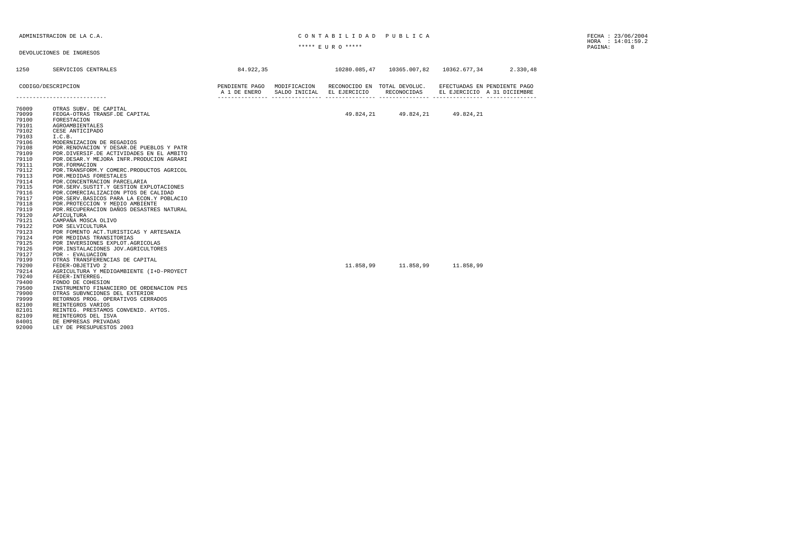### ADMINISTRACION DE LA C.A. CONTABILIDAD PUBLICA

HORA : 14:01:59.2 \*\*\*\*\* E U R O \*\*\*\*\* PAGINA: 8

| 1250           | SERVICIOS CENTRALES                                      | 84.922,35                               |                             |           | 10280.085,47  10365.007,82  10362.677,34  2.330,48 |           |                                                             |
|----------------|----------------------------------------------------------|-----------------------------------------|-----------------------------|-----------|----------------------------------------------------|-----------|-------------------------------------------------------------|
|                | CODIGO/DESCRIPCION                                       | A 1 DE ENERO SALDO INICIAL EL EJERCICIO | PENDIENTE PAGO MODIFICACION |           | RECONOCIDO EN TOTAL DEVOLUC.<br>RECONOCIDAS        |           | EFECTUADAS EN PENDIENTE PAGO<br>EL EJERCICIO A 31 DICIEMBRE |
|                | ---------------------------                              |                                         |                             |           |                                                    |           |                                                             |
| 76009<br>79099 | OTRAS SUBV. DE CAPITAL<br>FEOGA-OTRAS TRANSF.DE CAPITAL  |                                         |                             |           | 49.824.21 49.824.21                                | 49.824,21 |                                                             |
| 79100          | FORESTACION                                              |                                         |                             |           |                                                    |           |                                                             |
| 79101          | AGROAMBIENTALES                                          |                                         |                             |           |                                                    |           |                                                             |
| 79102          | CESE ANTICIPADO                                          |                                         |                             |           |                                                    |           |                                                             |
| 79103          | I.C.B.                                                   |                                         |                             |           |                                                    |           |                                                             |
| 79106          | MODERNIZACION DE REGADIOS                                |                                         |                             |           |                                                    |           |                                                             |
| 79108          | PDR.RENOVACION Y DESAR.DE PUEBLOS Y PATR                 |                                         |                             |           |                                                    |           |                                                             |
| 79109          | PDR.DIVERSIF.DE ACTIVIDADES EN EL AMBITO                 |                                         |                             |           |                                                    |           |                                                             |
| 79110          | PDR.DESAR.Y MEJORA INFR.PRODUCION AGRARI                 |                                         |                             |           |                                                    |           |                                                             |
| 79111          | PDR. FORMACION                                           |                                         |                             |           |                                                    |           |                                                             |
| 79112          | PDR. TRANSFORM. Y COMERC. PRODUCTOS AGRICOL              |                                         |                             |           |                                                    |           |                                                             |
| 79113<br>79114 | PDR. MEDIDAS FORESTALES<br>PDR.CONCENTRACION PARCELARIA  |                                         |                             |           |                                                    |           |                                                             |
| 79115          | PDR. SERV. SUSTIT. Y GESTION EXPLOTACIONES               |                                         |                             |           |                                                    |           |                                                             |
| 79116          | PDR.COMERCIALIZACION PTOS DE CALIDAD                     |                                         |                             |           |                                                    |           |                                                             |
| 79117          | PDR.SERV.BASICOS PARA LA ECON.Y POBLACIO                 |                                         |                             |           |                                                    |           |                                                             |
| 79118          | PDR.PROTECCION Y MEDIO AMBIENTE                          |                                         |                             |           |                                                    |           |                                                             |
| 79119          | PDR. RECUPERACION DAÑOS DESASTRES NATURAL                |                                         |                             |           |                                                    |           |                                                             |
| 79120          | APICULTURA                                               |                                         |                             |           |                                                    |           |                                                             |
| 79121          | CAMPAÑA MOSCA OLIVO                                      |                                         |                             |           |                                                    |           |                                                             |
| 79122          | PDR SELVICULTURA                                         |                                         |                             |           |                                                    |           |                                                             |
| 79123          | PDR FOMENTO ACT. TURISTICAS Y ARTESANIA                  |                                         |                             |           |                                                    |           |                                                             |
| 79124          | PDR MEDIDAS TRANSITORIAS                                 |                                         |                             |           |                                                    |           |                                                             |
| 79125<br>79126 | PDR INVERSIONES EXPLOT. AGRICOLAS                        |                                         |                             |           |                                                    |           |                                                             |
| 79127          | PDR. INSTALACIONES JOV. AGRICULTORES<br>PDR - EVALUACION |                                         |                             |           |                                                    |           |                                                             |
| 79199          | OTRAS TRANSFERENCIAS DE CAPITAL                          |                                         |                             |           |                                                    |           |                                                             |
| 79200          | FEDER-OBJETIVO 2                                         |                                         |                             | 11.858,99 | 11.858,99                                          | 11,858,99 |                                                             |
| 79214          | AGRICULTURA Y MEDIOAMBIENTE (I+D-PROYECT                 |                                         |                             |           |                                                    |           |                                                             |
| 79240          | FEDER-INTERREG.                                          |                                         |                             |           |                                                    |           |                                                             |
| 79400          | FONDO DE COHESION                                        |                                         |                             |           |                                                    |           |                                                             |
| 79500          | INSTRUMENTO FINANCIERO DE ORDENACION PES                 |                                         |                             |           |                                                    |           |                                                             |
| 79900          | OTRAS SUBVNCIONES DEL EXTERIOR                           |                                         |                             |           |                                                    |           |                                                             |
| 79999          | RETORNOS PROG. OPERATIVOS CERRADOS                       |                                         |                             |           |                                                    |           |                                                             |
| 82100          | REINTEGROS VARIOS                                        |                                         |                             |           |                                                    |           |                                                             |
| 82101          | REINTEG. PRESTAMOS CONVENID. AYTOS.                      |                                         |                             |           |                                                    |           |                                                             |
| 82109          | REINTEGROS DEL ISVA                                      |                                         |                             |           |                                                    |           |                                                             |
| 84001          | DE EMPRESAS PRIVADAS                                     |                                         |                             |           |                                                    |           |                                                             |
| 92000          | LEY DE PRESUPUESTOS 2003                                 |                                         |                             |           |                                                    |           |                                                             |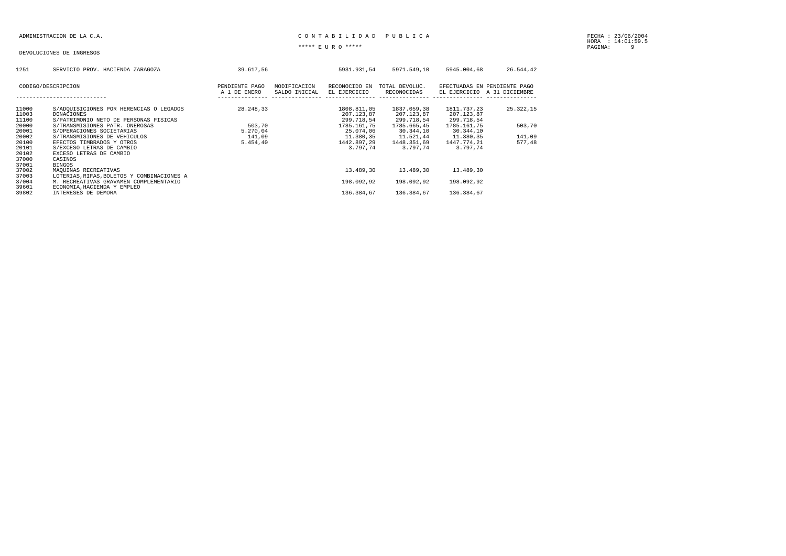### ADMINISTRACION DE LA C.A. CARRECTER EN LA CONTRETEIRA EN LA CONTRETEIRA EN LA CARRECTERA EN LA CARRECTERA EN LA

| 1251           | SERVICIO PROV. HACIENDA ZARAGOZA                             | 39.617.56      |               | 5931.931.54               | 5971.549.10               | 5945.004.68               | 26.544,42                    |
|----------------|--------------------------------------------------------------|----------------|---------------|---------------------------|---------------------------|---------------------------|------------------------------|
|                | CODIGO/DESCRIPCION                                           | PENDIENTE PAGO | MODIFICACION  | RECONOCIDO EN             | TOTAL DEVOLUC.            |                           | EFECTUADAS EN PENDIENTE PAGO |
|                |                                                              | A 1 DE ENERO   | SALDO INICIAL | EL EJERCICIO              | RECONOCIDAS               | EL EJERCICIO              | A 31 DICIEMBRE               |
|                |                                                              |                |               |                           |                           |                           |                              |
| 11000<br>11003 | S/ADQUISICIONES POR HERENCIAS O LEGADOS<br><b>DONACIONES</b> | 28.248.33      |               | 1808.811.05<br>207.123.87 | 1837.059.38<br>207.123.87 | 1811.737.23<br>207.123.87 | 25.322,15                    |
| 11100          | S/PATRIMONIO NETO DE PERSONAS FISICAS                        |                |               | 299.718,54                | 299.718,54                | 299.718,54                |                              |
| 20000          | S/TRANSMISIONES PATR. ONEROSAS                               | 503,70         |               | 1785.161.75               | 1785.665,45               | 1785.161,75               | 503,70                       |
| 20001          | S/OPERACIONES SOCIETARIAS                                    | 5.270,04       |               | 25.074.06                 | 30.344,10                 | 30.344,10                 |                              |
| 20002          | S/TRANSMISIONES DE VEHICULOS                                 | 141,09         |               | 11.380,35                 | 11.521,44                 | 11.380,35                 | 141,09                       |
| 20100<br>20101 | EFECTOS TIMBRADOS Y OTROS                                    | 5.454,40       |               | 1442.897.29<br>3.797.74   | 1448.351,69<br>3.797.74   | 1447.774.21<br>3.797.74   | 577,48                       |
| 20102          | S/EXCESO LETRAS DE CAMBIO<br>EXCESO LETRAS DE CAMBIO         |                |               |                           |                           |                           |                              |
| 37000          | CASINOS                                                      |                |               |                           |                           |                           |                              |
| 37001          | <b>BINGOS</b>                                                |                |               |                           |                           |                           |                              |
| 37002          | MAOUINAS RECREATIVAS                                         |                |               | 13,489,30                 | 13.489.30                 | 13.489.30                 |                              |
| 37003          | LOTERIAS, RIFAS, BOLETOS Y COMBINACIONES A                   |                |               |                           |                           |                           |                              |
| 37004          | M. RECREATIVAS GRAVAMEN COMPLEMENTARIO                       |                |               | 198.092.92                | 198.092.92                | 198.092.92                |                              |
| 39601          | ECONOMIA, HACIENDA Y EMPLEO                                  |                |               |                           |                           |                           |                              |
| 39802          | INTERESES DE DEMORA                                          |                |               | 136.384.67                | 136.384.67                | 136.384.67                |                              |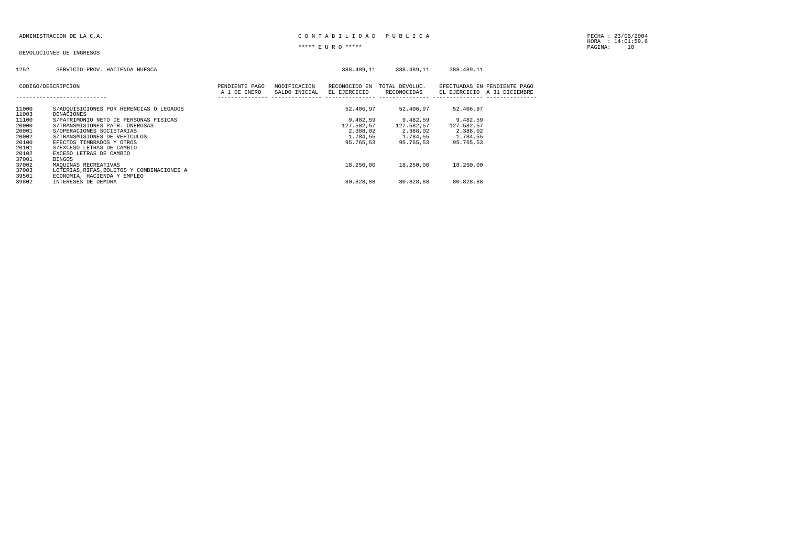### ADMINISTRACION DE LA C.A. CARREGATE DE LA CONTRESSE DE LA CONTRESSE DE LA PUBLICA E

HORA : 14:01:59.6 \*\*\*\*\* E U R O \*\*\*\*\* PAGINA: 10

### DEVOLUCIONES DE INGRESOS

### 1252 SERVICIO PROV. HACIENDA HUESCA 388.489,11 388.489,11 388.489,11

|                | CODIGO/DESCRIPCION<br>------------------------                   | PENDIENTE PAGO<br>A 1 DE ENERO | MODIFICACION<br>SALDO INICIAL | RECONOCIDO EN<br>EL EJERCICIO | TOTAL DEVOLUC.<br>RECONOCIDAS | EL EJERCICIO | EFECTUADAS EN PENDIENTE PAGO<br>A 31 DICIEMBRE |
|----------------|------------------------------------------------------------------|--------------------------------|-------------------------------|-------------------------------|-------------------------------|--------------|------------------------------------------------|
| 11000<br>11003 | S/ADQUISICIONES POR HERENCIAS O LEGADOS<br><b>DONACIONES</b>     |                                |                               | 52.406.97                     | 52.406.97                     | 52.406,97    |                                                |
| 11100          | S/PATRIMONIO NETO DE PERSONAS FISICAS                            |                                |                               | 9.482.59                      | 9.482.59                      | 9.482,59     |                                                |
| 20000          | S/TRANSMISIONES PATR. ONEROSAS                                   |                                |                               | 127.582.57                    | 127.582.57                    | 127.582,57   |                                                |
| 20001          | S/OPERACIONES SOCIETARIAS                                        |                                |                               | 2.388,02                      | 2.388,02                      | 2.388,02     |                                                |
| 20002          | S/TRANSMISIONES DE VEHICULOS                                     |                                |                               | 1.784.55                      | 1.784.55                      | 1.784.55     |                                                |
| 20100          | EFECTOS TIMBRADOS Y OTROS                                        |                                |                               | 95.765.53                     | 95.765.53                     | 95.765.53    |                                                |
| 20101          | S/EXCESO LETRAS DE CAMBIO                                        |                                |                               |                               |                               |              |                                                |
| 20102          | EXCESO LETRAS DE CAMBIO                                          |                                |                               |                               |                               |              |                                                |
| 37001<br>37002 | <b>BINGOS</b>                                                    |                                |                               | 18,250,00                     | 18,250,00                     | 18,250,00    |                                                |
| 37003          | MAOUINAS RECREATIVAS<br>LOTERIAS.RIFAS.BOLETOS Y COMBINACIONES A |                                |                               |                               |                               |              |                                                |
| 39501          | ECONOMIA, HACIENDA Y EMPLEO                                      |                                |                               |                               |                               |              |                                                |
| 39802          | INTERESES DE DEMORA                                              |                                |                               | 80.828.88                     | 80.828.88                     | 80.828.88    |                                                |
|                |                                                                  |                                |                               |                               |                               |              |                                                |